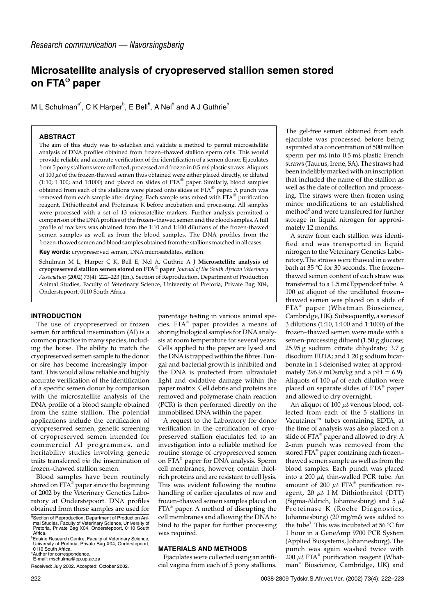# **Microsatellite analysis of cryopreserved stallion semen stored on FTA® paper**

M L Schulman<sup>a\*</sup>, C K Harper $^{\textsf{b}}$ , E Bell $^{\textsf{b}}$ , A Nel $^{\textsf{b}}$  and A J Guthrie $^{\textsf{b}}$ 

## **ABSTRACT**

The aim of this study was to establish and validate a method to permit microsatellite analysis of DNA profiles obtained from frozen–thawed stallion sperm cells. This would provide reliable and accurate verification of the identification of a semen donor. Ejaculates from 5 pony stallions were collected, processed and frozen in  $0.5$  m $\ell$  plastic straws. Aliquots of  $100 \mu l$  of the frozen-thawed semen thus obtained were either placed directly, or diluted (1:10; 1:100; and 1:1000) and placed on slides of FTA® paper. Similarly, blood samples obtained from each of the stallions were placed onto slides of FTA® paper. A punch was removed from each sample after drying. Each sample was mixed with FTA® purification reagent, Dithiothreitol and Proteinase K before incubation and processing. All samples were processed with a set of 13 microsatellite markers. Further analysis permitted a comparison of the DNA profiles of the frozen–thawed semen and the blood samples. A full profile of markers was obtained from the 1:10 and 1:100 dilutions of the frozen-thawed semen samples as well as from the blood samples. The DNA profiles from the frozen-thawed semen and blood samples obtained from the stallions matched in all cases.

**Key words**: cryopreserved semen, DNA microsatellites, stallion.

Schulman M L, Harper C K, Bell E, Nel A, Guthrie A J **Microsatellite analysis of cryopreserved stallion semen stored on FTA® paper**. *Journal of the South African Veterinary Association* (2002) 73(4): 222–223 (En.). Section of Reproduction, Department of Production Animal Studies, Faculty of Veterinary Science, University of Pretoria, Private Bag X04, Onderstepoort, 0110 South Africa.

### **INTRODUCTION**

The use of cryopreserved or frozen semen for artificial insemination (AI) is a common practice in many species, including the horse. The ability to match the cryopreserved semen sample to the donor or sire has become increasingly important. This would allow reliable and highly accurate verification of the identification of a specific semen donor by comparison with the microsatellite analysis of the DNA profile of a blood sample obtained from the same stallion. The potential applications include the certification of cryopreserved semen, genetic screening of cryopreserved semen intended for commercial AI programmes, and heritability studies involving genetic traits transferred *via* the insemination of frozen–thawed stallion semen.

Blood samples have been routinely stored on FTA<sup>®</sup> paper since the beginning of 2002 by the Veterinary Genetics Laboratory at Onderstepoort. DNA profiles obtained from these samples are used for parentage testing in various animal species. FTA® paper provides a means of storing biological samples for DNA analysis at room temperature for several years. Cells applied to the paper are lysed and the DNA is trapped within the fibres. Fungal and bacterial growth is inhibited and the DNA is protected from ultraviolet light and oxidative damage within the paper matrix. Cell debris and proteins are removed and polymerase chain reaction (PCR) is then performed directly on the immobilised DNA within the paper.

A request to the Laboratory for donor verification in the certification of cryopreserved stallion ejaculates led to an investigation into a reliable method for routine storage of cryopreserved semen on FTA® paper for DNA analysis. Sperm cell membranes, however, contain thiolrich proteins and are resistant to cell lysis. This was evident following the routine handling of earlier ejaculates of raw and frozen–thawed semen samples placed on FTA® paper. A method of disrupting the cell membranes and allowing the DNA to bind to the paper for further processing was required.

#### **MATERIALS AND METHODS**

Ejaculates were collected using an artificial vagina from each of 5 pony stallions. The gel-free semen obtained from each ejaculate was processed before being aspirated at a concentration of 500 million sperm per m $\ell$  into 0.5 m $\ell$  plastic French straws (Taurus, Irene, SA). The straws had been indelibly marked with an inscription that included the name of the stallion as well as the date of collection and processing. The straws were then frozen using minor modifications to an established method<sup>3</sup> and were transferred for further storage in liquid nitrogen for approximately 12 months.

A straw from each stallion was identified and was transported in liquid nitrogen to the Veterinary Genetics Laboratory. The straws were thawed in a water bath at 35 °C for 30 seconds. The frozen– thawed semen content of each straw was transferred to a 1.5 ml Eppendorf tube. A 100  $\mu\ell$  aliquot of the undiluted frozen– thawed semen was placed on a slide of FTA<sup>®</sup> paper (Whatman Bioscience, Cambridge, UK). Subsequently, a series of 3 dilutions (1:10, 1:100 and 1:1000) of the frozen–thawed semen were made with a semen-processing diluent (1.50 g glucose; 25.95 g sodium citrate dihydrate; 3.7 g disodium EDTA; and 1.20 g sodium bicarbonate in  $1 \ell$  deionised water, at approximately 296.9 mOsm/kg and a  $pH = 6.9$ ). Aliquots of 100  $\mu\ell$  of each dilution were placed on separate slides of FTA® paper and allowed to dry overnight.

An aliquot of 100  $\mu l$  venous blood, collected from each of the 5 stallions in Vacutainer™ tubes containing EDTA, at the time of analysis was also placed on a slide of FTA<sup>®</sup> paper and allowed to dry. A 2-mm punch was removed from the stored FTA® paper containing each frozen– thawed semen sample as well as from the blood samples. Each punch was placed into a 200  $\mu$ , thin-walled PCR tube. An amount of 200  $\mu\ell$  FTA® purification reagent, 20  $\mu\ell$  1 M Dithiothreitol (DTT) (Sigma-Aldrich, Johannesburg) and  $5 \mu l$ Proteinase K (Roche Diagnostics, Johannesburg) (20 mg/m $\ell$ ) was added to the tube<sup>1</sup>. This was incubated at 56 °C for 1 hour in a GeneAmp 9700 PCR System (Applied Biosystems, Johannesburg). The punch was again washed twice with  $200 \mu l$  FTA<sup>®</sup> purification reagent (Whatman® Bioscience, Cambridge, UK) and

aSection of Reproduction, Department of Production Animal Studies, Faculty of Veterinary Science, University of Pretoria, Private Bag X04, Onderstepoort, 0110 South Africa.

b Equine Research Centre, Faculty of Veterinary Science, University of Pretoria, Private Bag X04, Onderstepoort, 0110 South Africa. \*Author for correspondence.

E-mail: mschulma@op.up.ac.za

Received: July 2002. Accepted: October 2002.